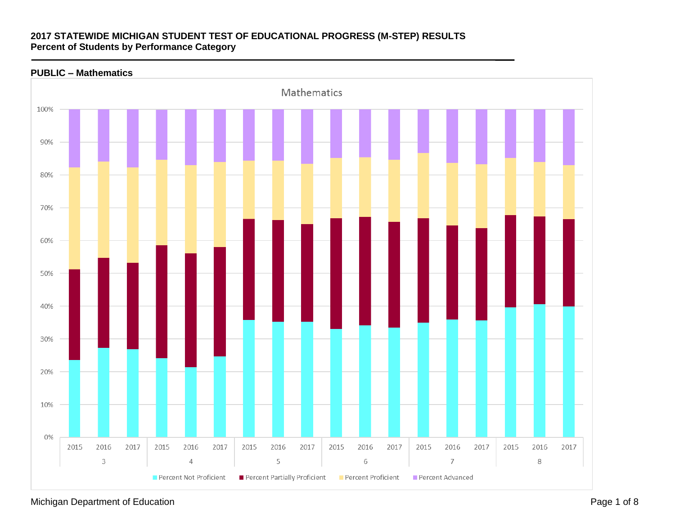### **PUBLIC – Mathematics**



Michigan Department of Education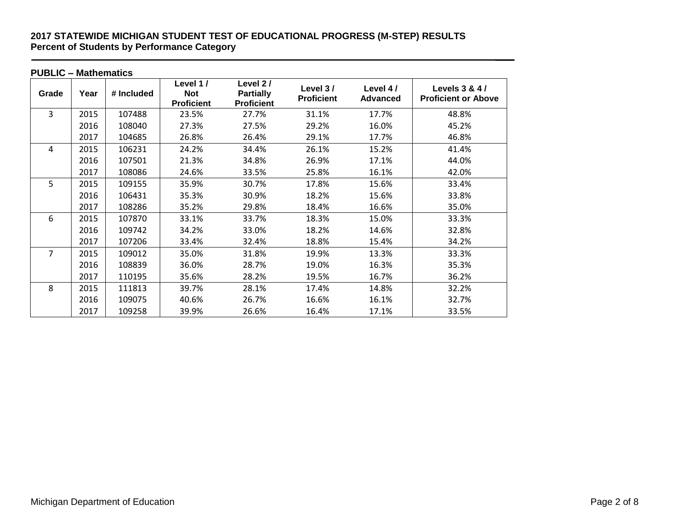| <b>PUBLIC - Mathematics</b> |      |            |                                             |                                                   |                               |                             |                                              |  |
|-----------------------------|------|------------|---------------------------------------------|---------------------------------------------------|-------------------------------|-----------------------------|----------------------------------------------|--|
| Grade                       | Year | # Included | Level 1/<br><b>Not</b><br><b>Proficient</b> | Level 2/<br><b>Partially</b><br><b>Proficient</b> | Level 3/<br><b>Proficient</b> | Level 4/<br><b>Advanced</b> | Levels 3 & 4 /<br><b>Proficient or Above</b> |  |
| $\overline{3}$              | 2015 | 107488     | 23.5%                                       | 27.7%                                             | 31.1%                         | 17.7%                       | 48.8%                                        |  |
|                             | 2016 | 108040     | 27.3%                                       | 27.5%                                             | 29.2%                         | 16.0%                       | 45.2%                                        |  |
|                             | 2017 | 104685     | 26.8%                                       | 26.4%                                             | 29.1%                         | 17.7%                       | 46.8%                                        |  |
| 4                           | 2015 | 106231     | 24.2%                                       | 34.4%                                             | 26.1%                         | 15.2%                       | 41.4%                                        |  |
|                             | 2016 | 107501     | 21.3%                                       | 34.8%                                             | 26.9%                         | 17.1%                       | 44.0%                                        |  |
|                             | 2017 | 108086     | 24.6%                                       | 33.5%                                             | 25.8%                         | 16.1%                       | 42.0%                                        |  |
| 5                           | 2015 | 109155     | 35.9%                                       | 30.7%                                             | 17.8%                         | 15.6%                       | 33.4%                                        |  |
|                             | 2016 | 106431     | 35.3%                                       | 30.9%                                             | 18.2%                         | 15.6%                       | 33.8%                                        |  |
|                             | 2017 | 108286     | 35.2%                                       | 29.8%                                             | 18.4%                         | 16.6%                       | 35.0%                                        |  |
| 6                           | 2015 | 107870     | 33.1%                                       | 33.7%                                             | 18.3%                         | 15.0%                       | 33.3%                                        |  |
|                             | 2016 | 109742     | 34.2%                                       | 33.0%                                             | 18.2%                         | 14.6%                       | 32.8%                                        |  |
|                             | 2017 | 107206     | 33.4%                                       | 32.4%                                             | 18.8%                         | 15.4%                       | 34.2%                                        |  |
| $\overline{7}$              | 2015 | 109012     | 35.0%                                       | 31.8%                                             | 19.9%                         | 13.3%                       | 33.3%                                        |  |
|                             | 2016 | 108839     | 36.0%                                       | 28.7%                                             | 19.0%                         | 16.3%                       | 35.3%                                        |  |
|                             | 2017 | 110195     | 35.6%                                       | 28.2%                                             | 19.5%                         | 16.7%                       | 36.2%                                        |  |
| 8                           | 2015 | 111813     | 39.7%                                       | 28.1%                                             | 17.4%                         | 14.8%                       | 32.2%                                        |  |
|                             | 2016 | 109075     | 40.6%                                       | 26.7%                                             | 16.6%                         | 16.1%                       | 32.7%                                        |  |
|                             | 2017 | 109258     | 39.9%                                       | 26.6%                                             | 16.4%                         | 17.1%                       | 33.5%                                        |  |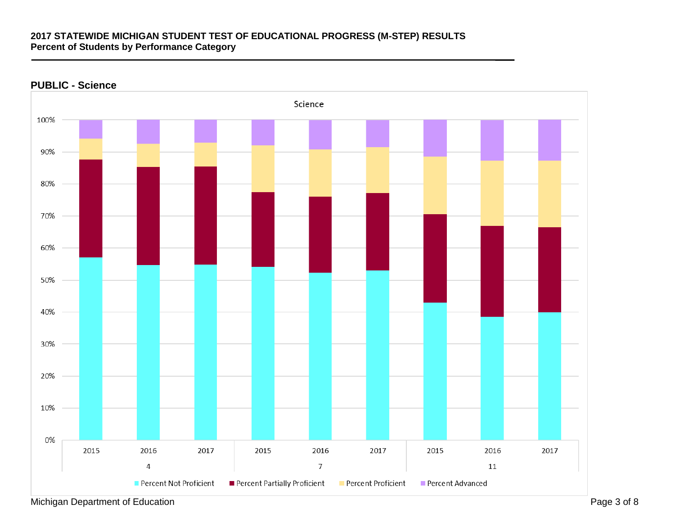

### **PUBLIC - Science**

Michigan Department of Education **Page 3 of 8**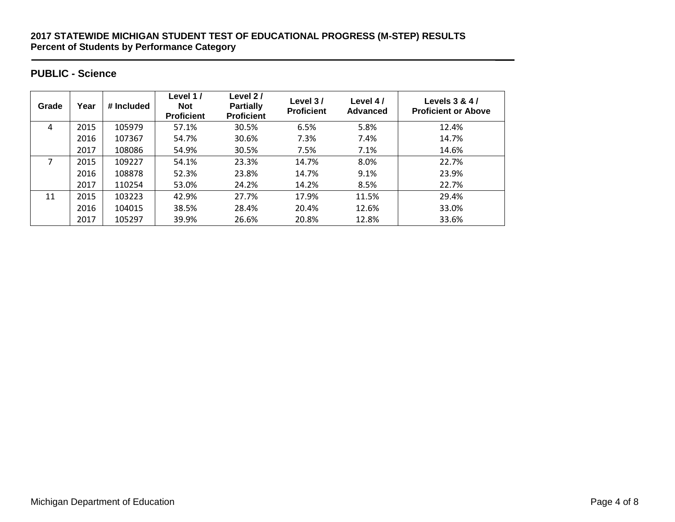## **PUBLIC - Science**

| Grade | Year | # Included | Level 1 /<br><b>Not</b><br><b>Proficient</b> | Level 2/<br><b>Partially</b><br><b>Proficient</b> | Level 3/<br><b>Proficient</b> | Level 4/<br>Advanced | Levels 3 & 4/<br><b>Proficient or Above</b> |
|-------|------|------------|----------------------------------------------|---------------------------------------------------|-------------------------------|----------------------|---------------------------------------------|
| 4     | 2015 | 105979     | 57.1%                                        | 30.5%                                             | 6.5%                          | 5.8%                 | 12.4%                                       |
|       | 2016 | 107367     | 54.7%                                        | 30.6%                                             | 7.3%                          | 7.4%                 | 14.7%                                       |
|       | 2017 | 108086     | 54.9%                                        | 30.5%                                             | 7.5%                          | 7.1%                 | 14.6%                                       |
|       | 2015 | 109227     | 54.1%                                        | 23.3%                                             | 14.7%                         | 8.0%                 | 22.7%                                       |
|       | 2016 | 108878     | 52.3%                                        | 23.8%                                             | 14.7%                         | 9.1%                 | 23.9%                                       |
|       | 2017 | 110254     | 53.0%                                        | 24.2%                                             | 14.2%                         | 8.5%                 | 22.7%                                       |
| 11    | 2015 | 103223     | 42.9%                                        | 27.7%                                             | 17.9%                         | 11.5%                | 29.4%                                       |
|       | 2016 | 104015     | 38.5%                                        | 28.4%                                             | 20.4%                         | 12.6%                | 33.0%                                       |
|       | 2017 | 105297     | 39.9%                                        | 26.6%                                             | 20.8%                         | 12.8%                | 33.6%                                       |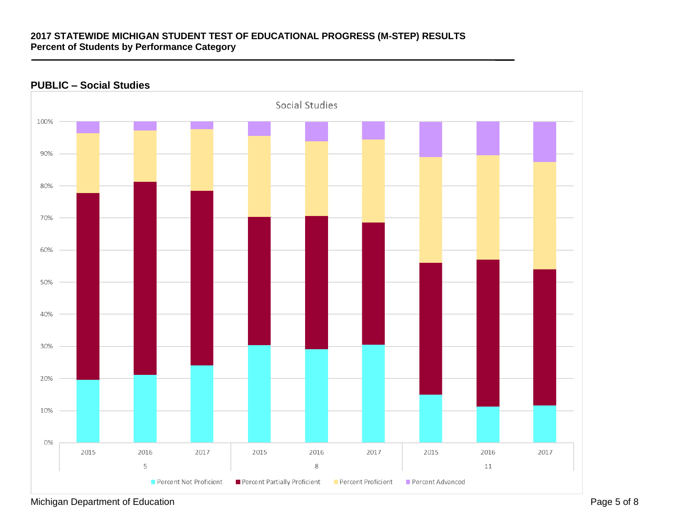# Social Studies 100% 90% 80% 70% 60% 50% 40% 30% 20% 10% 0% 2015 2016 2017 2015 2016 2017 2015 2016 2017 5 8 11 Percent Not Proficient Percent Partially Proficient Percent Proficient Percent Advanced

### **PUBLIC – Social Studies**

Michigan Department of Education **Page 5 of 8** Page 5 of 8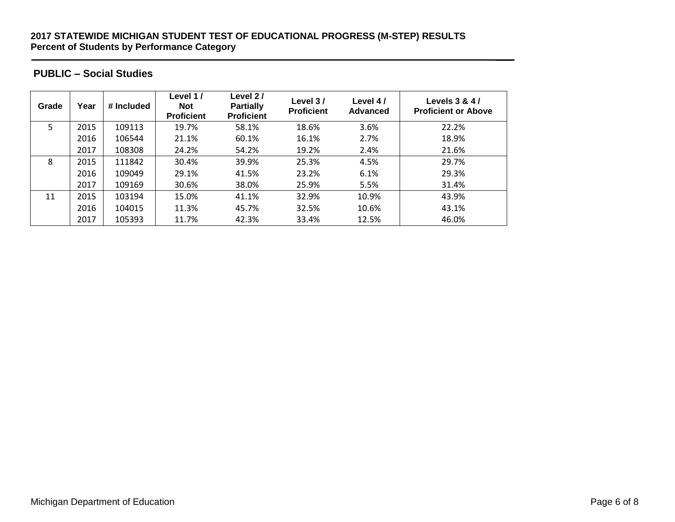## **PUBLIC – Social Studies**

| Grade | Year | # Included | Level 1 /<br><b>Not</b><br><b>Proficient</b> | Level 2/<br><b>Partially</b><br><b>Proficient</b> | Level 3/<br><b>Proficient</b> | Level 4/<br><b>Advanced</b> | Levels 3 & 4/<br><b>Proficient or Above</b> |
|-------|------|------------|----------------------------------------------|---------------------------------------------------|-------------------------------|-----------------------------|---------------------------------------------|
| 5.    | 2015 | 109113     | 19.7%                                        | 58.1%                                             | 18.6%                         | 3.6%                        | 22.2%                                       |
|       | 2016 | 106544     | 21.1%                                        | 60.1%                                             | 16.1%                         | 2.7%                        | 18.9%                                       |
|       | 2017 | 108308     | 24.2%                                        | 54.2%                                             | 19.2%                         | 2.4%                        | 21.6%                                       |
| 8     | 2015 | 111842     | 30.4%                                        | 39.9%                                             | 25.3%                         | 4.5%                        | 29.7%                                       |
|       | 2016 | 109049     | 29.1%                                        | 41.5%                                             | 23.2%                         | 6.1%                        | 29.3%                                       |
|       | 2017 | 109169     | 30.6%                                        | 38.0%                                             | 25.9%                         | 5.5%                        | 31.4%                                       |
| 11    | 2015 | 103194     | 15.0%                                        | 41.1%                                             | 32.9%                         | 10.9%                       | 43.9%                                       |
|       | 2016 | 104015     | 11.3%                                        | 45.7%                                             | 32.5%                         | 10.6%                       | 43.1%                                       |
|       | 2017 | 105393     | 11.7%                                        | 42.3%                                             | 33.4%                         | 12.5%                       | 46.0%                                       |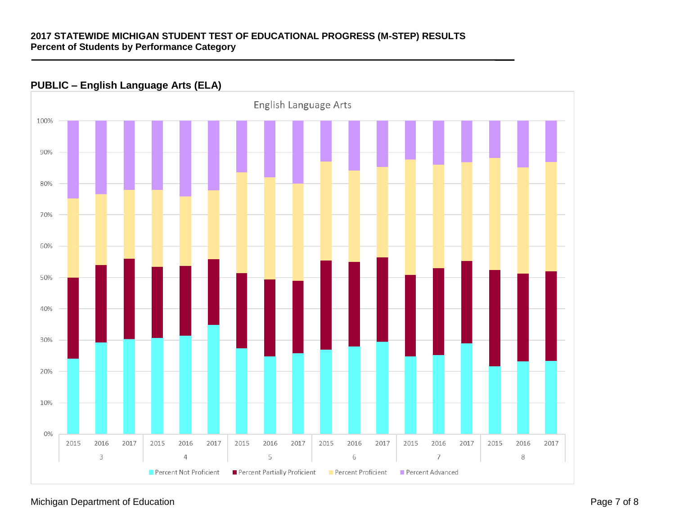## **PUBLIC – English Language Arts (ELA)**